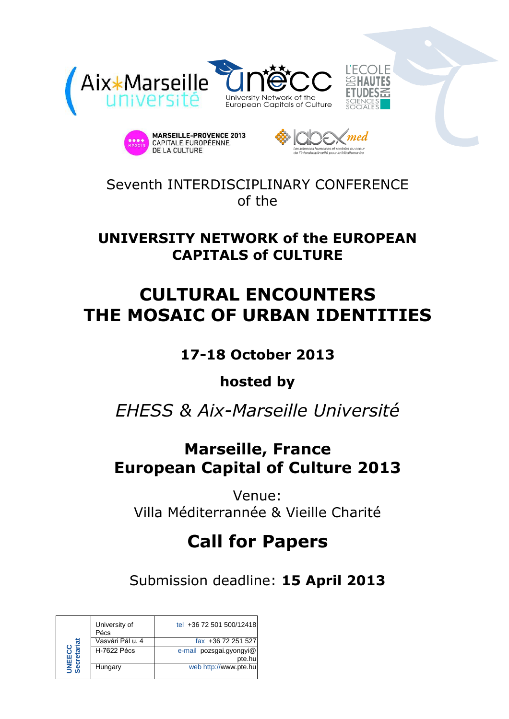





Seventh INTERDISCIPLINARY CONFERENCE of the

### **UNIVERSITY NETWORK of the EUROPEAN CAPITALS of CULTURE**

# **CULTURAL ENCOUNTERS THE MOSAIC OF URBAN IDENTITIES**

### **17-18 October 2013**

### **hosted by**

# *EHESS & Aix-Marseille Université*

## **Marseille, France European Capital of Culture 2013**

Venue: Villa Méditerrannée & Vieille Charité

# **Call for Papers**

Submission deadline: **15 April 2013**

| 见<br>NEE(<br>ecret | University of<br>Pécs | tel +36 72 501 500/12418          |
|--------------------|-----------------------|-----------------------------------|
|                    | Vasvári Pál u. 4      | fax +36 72 251 527                |
|                    | <b>H-7622 Pécs</b>    | e-mail pozsgai.gyongyi@<br>pte.hu |
|                    | Hungary               | web http://www.pte.hu             |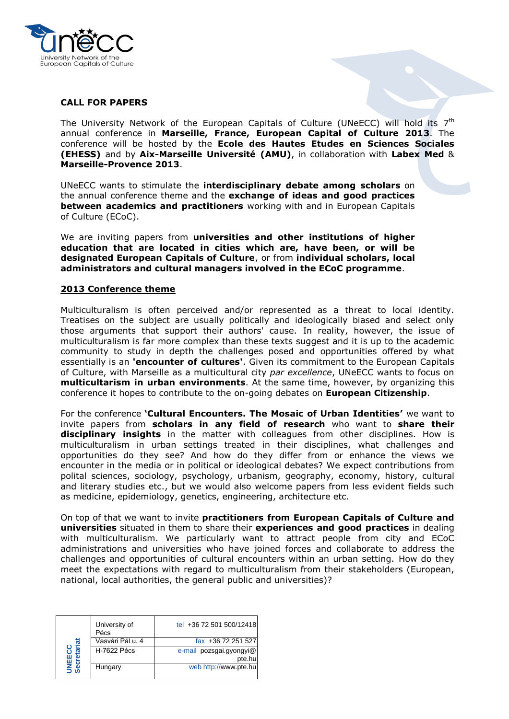

#### **CALL FOR PAPERS**

The University Network of the European Capitals of Culture (UNeECC) will hold its 7<sup>th</sup> annual conference in **Marseille, France, European Capital of Culture 2013**. The conference will be hosted by the **Ecole des Hautes Etudes en Sciences Sociales (EHESS)** and by **Aix-Marseille Université (AMU)**, in collaboration with **Labex Med** & **Marseille-Provence 2013**.

UNeECC wants to stimulate the **interdisciplinary debate among scholars** on the annual conference theme and the **exchange of ideas and good practices between academics and practitioners** working with and in European Capitals of Culture (ECoC).

We are inviting papers from **universities and other institutions of higher education that are located in cities which are, have been, or will be designated European Capitals of Culture**, or from **individual scholars, local administrators and cultural managers involved in the ECoC programme**.

#### **2013 Conference theme**

Multiculturalism is often perceived and/or represented as a threat to local identity. Treatises on the subject are usually politically and ideologically biased and select only those arguments that support their authors' cause. In reality, however, the issue of multiculturalism is far more complex than these texts suggest and it is up to the academic community to study in depth the challenges posed and opportunities offered by what essentially is an **'encounter of cultures'**. Given its commitment to the European Capitals of Culture, with Marseille as a multicultural city *par excellence*, UNeECC wants to focus on **multicultarism in urban environments**. At the same time, however, by organizing this conference it hopes to contribute to the on-going debates on **European Citizenship**.

For the conference **'Cultural Encounters. The Mosaic of Urban Identities'** we want to invite papers from **scholars in any field of research** who want to **share their disciplinary insights** in the matter with colleagues from other disciplines. How is multiculturalism in urban settings treated in their disciplines, what challenges and opportunities do they see? And how do they differ from or enhance the views we encounter in the media or in political or ideological debates? We expect contributions from polital sciences, sociology, psychology, urbanism, geography, economy, history, cultural and literary studies etc., but we would also welcome papers from less evident fields such as medicine, epidemiology, genetics, engineering, architecture etc.

On top of that we want to invite **practitioners from European Capitals of Culture and universities** situated in them to share their **experiences and good practices** in dealing with multiculturalism. We particularly want to attract people from city and ECoC administrations and universities who have joined forces and collaborate to address the challenges and opportunities of cultural encounters within an urban setting. How do they meet the expectations with regard to multiculturalism from their stakeholders (European, national, local authorities, the general public and universities)?

| )<br>이 드 | University of<br>Pécs | tel +36 72 501 500/12418           |
|----------|-----------------------|------------------------------------|
|          | Vasvári Pál u. 4      | fax +36 72 251 527                 |
|          | <b>H-7622 Pécs</b>    | e-mail pozsgai.gyongyi@<br>pte.hul |
|          | Hungary               | web http://www.pte.hu              |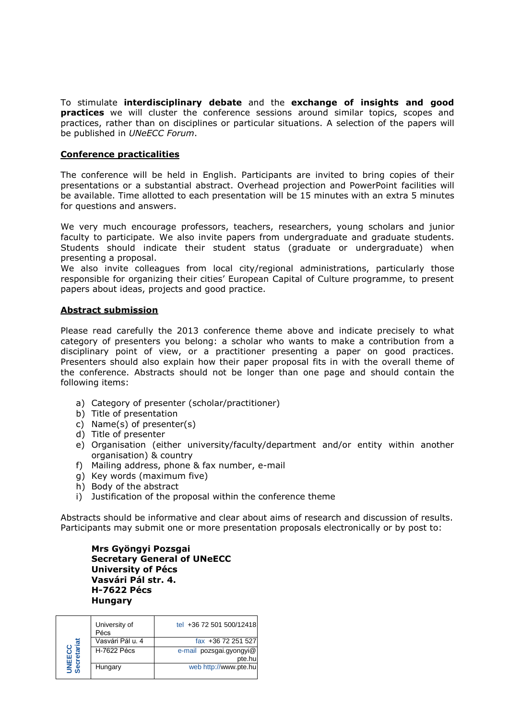To stimulate **interdisciplinary debate** and the **exchange of insights and good practices** we will cluster the conference sessions around similar topics, scopes and practices, rather than on disciplines or particular situations. A selection of the papers will be published in *UNeECC Forum*.

#### **Conference practicalities**

The conference will be held in English. Participants are invited to bring copies of their presentations or a substantial abstract. Overhead projection and PowerPoint facilities will be available. Time allotted to each presentation will be 15 minutes with an extra 5 minutes for questions and answers.

We very much encourage professors, teachers, researchers, young scholars and junior faculty to participate. We also invite papers from undergraduate and graduate students. Students should indicate their student status (graduate or undergraduate) when presenting a proposal.

We also invite colleagues from local city/regional administrations, particularly those responsible for organizing their cities' European Capital of Culture programme, to present papers about ideas, projects and good practice.

#### **Abstract submission**

Please read carefully the 2013 conference theme above and indicate precisely to what category of presenters you belong: a scholar who wants to make a contribution from a disciplinary point of view, or a practitioner presenting a paper on good practices. Presenters should also explain how their paper proposal fits in with the overall theme of the conference. Abstracts should not be longer than one page and should contain the following items:

- a) Category of presenter (scholar/practitioner)
- b) Title of presentation
- c) Name(s) of presenter(s)
- d) Title of presenter
- e) Organisation (either university/faculty/department and/or entity within another organisation) & country
- f) Mailing address, phone & fax number, e-mail
- g) Key words (maximum five)
- h) Body of the abstract
- i) Justification of the proposal within the conference theme

Abstracts should be informative and clear about aims of research and discussion of results. Participants may submit one or more presentation proposals electronically or by post to:

**Mrs Gyöngyi Pozsgai Secretary General of UNeECC University of Pécs Vasvári Pál str. 4. H-7622 Pécs Hungary**

| ECC<br>etariat<br><b>UNEE</b><br>Secre | University of<br>Pécs | tel +36 72 501 500/12418          |
|----------------------------------------|-----------------------|-----------------------------------|
|                                        | Vasvári Pál u. 4      | fax +36 72 251 527                |
|                                        | H-7622 Pécs           | e-mail pozsgai.gyongyi@<br>pte.hu |
|                                        | Hungary               | web http://www.pte.hu             |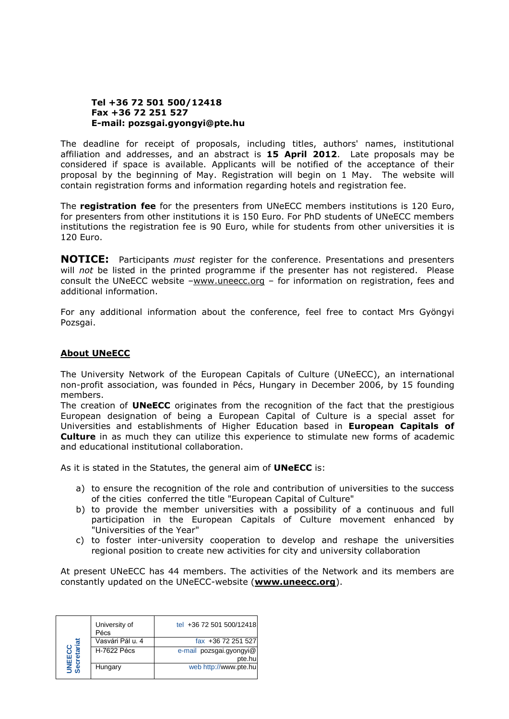#### **Tel +36 72 501 500/12418 Fax +36 72 251 527 E-mail: pozsgai.gyongyi@pte.hu**

The deadline for receipt of proposals, including titles, authors' names, institutional affiliation and addresses, and an abstract is **15 April 2012**. Late proposals may be considered if space is available. Applicants will be notified of the acceptance of their proposal by the beginning of May. Registration will begin on 1 May. The website will contain registration forms and information regarding hotels and registration fee.

The **registration fee** for the presenters from UNeECC members institutions is 120 Euro, for presenters from other institutions it is 150 Euro. For PhD students of UNeECC members institutions the registration fee is 90 Euro, while for students from other universities it is 120 Euro.

**NOTICE:** Participants *must* register for the conference. Presentations and presenters will *not* be listed in the printed programme if the presenter has not registered. Please consult the UNeECC website  $-\underline{www.uneecc.org}$  $-\underline{www.uneecc.org}$  $-\underline{www.uneecc.org}$  – for information on registration, fees and additional information.

For any additional information about the conference, feel free to contact Mrs Gyöngyi Pozsgai.

#### **About UNeECC**

The University Network of the European Capitals of Culture (UNeECC), an international non-profit association, was founded in Pécs, Hungary in December 2006, by 15 founding members.

The creation of **UNeECC** originates from the recognition of the fact that the prestigious European designation of being a European Capital of Culture is a special asset for Universities and establishments of Higher Education based in **European Capitals of Culture** in as much they can utilize this experience to stimulate new forms of academic and educational institutional collaboration.

As it is stated in the Statutes, the general aim of **UNeECC** is:

- a) to ensure the recognition of the role and contribution of universities to the success of the cities conferred the title "European Capital of Culture"
- b) to provide the member universities with a possibility of a continuous and full participation in the European Capitals of Culture movement enhanced by "Universities of the Year"
- c) to foster inter-university cooperation to develop and reshape the universities regional position to create new activities for city and university collaboration

At present UNeECC has 44 members. The activities of the Network and its members are constantly updated on the UNeECC-website (**[www.uneecc.org](http://www.uneecc.org/)**).

| 75<br>NEE<br>ecret | University of<br>Pécs | tel +36 72 501 500/12418          |
|--------------------|-----------------------|-----------------------------------|
|                    | Vasvári Pál u. 4      | fax +36 72 251 527                |
|                    | <b>H-7622 Pécs</b>    | e-mail pozsgai.gyongyi@<br>pte.hu |
|                    | Hungary               | web http://www.pte.hu             |